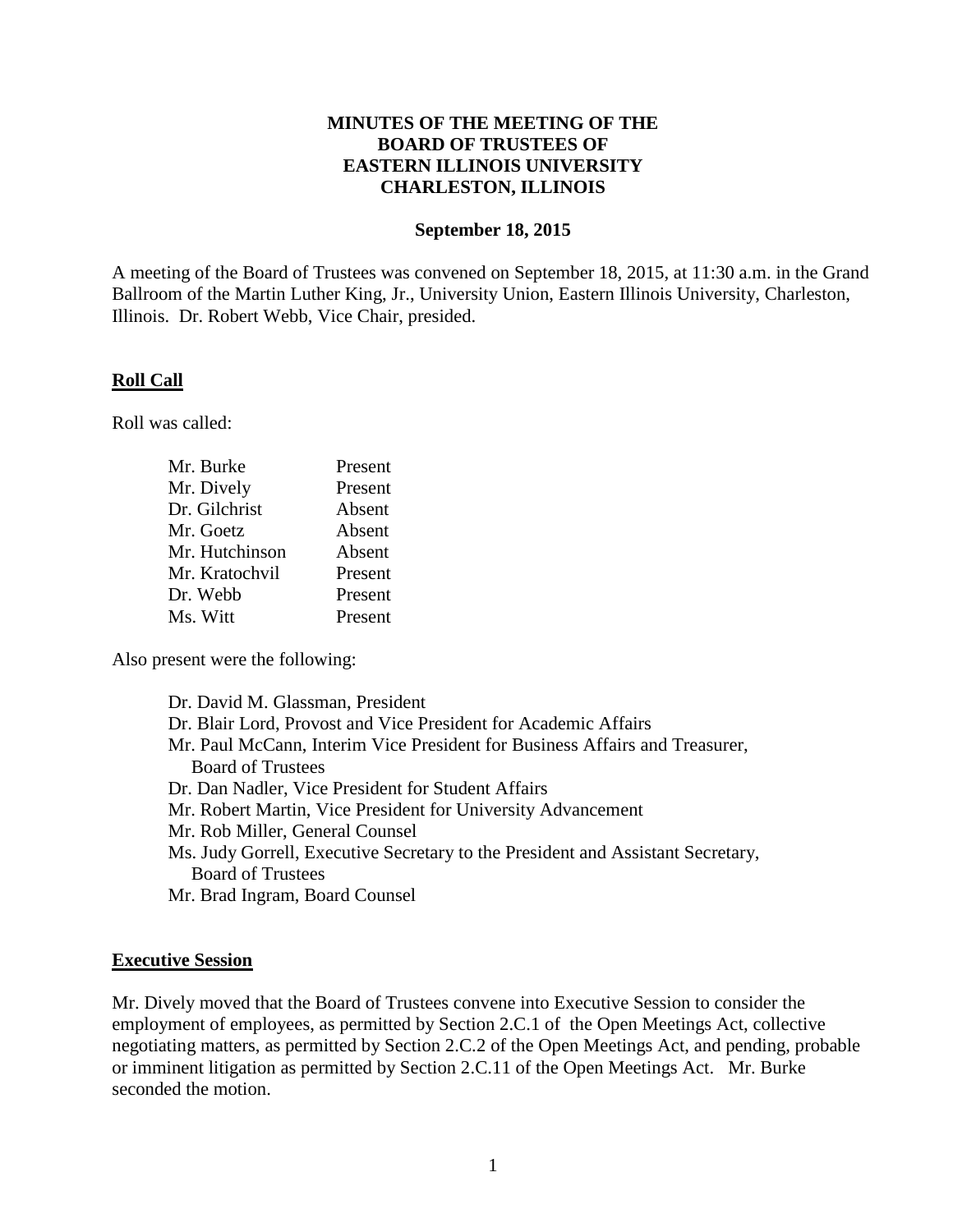## **MINUTES OF THE MEETING OF THE BOARD OF TRUSTEES OF EASTERN ILLINOIS UNIVERSITY CHARLESTON, ILLINOIS**

#### **September 18, 2015**

A meeting of the Board of Trustees was convened on September 18, 2015, at 11:30 a.m. in the Grand Ballroom of the Martin Luther King, Jr., University Union, Eastern Illinois University, Charleston, Illinois. Dr. Robert Webb, Vice Chair, presided.

### **Roll Call**

Roll was called:

| Mr. Burke      | Present |
|----------------|---------|
| Mr. Dively     | Present |
| Dr. Gilchrist  | Absent  |
| Mr. Goetz      | Absent  |
| Mr. Hutchinson | Absent  |
| Mr. Kratochvil | Present |
| Dr. Webb       | Present |
| Ms. Witt       | Present |

Also present were the following:

| Dr. David M. Glassman, President                                                |
|---------------------------------------------------------------------------------|
| Dr. Blair Lord, Provost and Vice President for Academic Affairs                 |
| Mr. Paul McCann, Interim Vice President for Business Affairs and Treasurer,     |
| <b>Board of Trustees</b>                                                        |
| Dr. Dan Nadler, Vice President for Student Affairs                              |
| Mr. Robert Martin, Vice President for University Advancement                    |
| Mr. Rob Miller, General Counsel                                                 |
| Ms. Judy Gorrell, Executive Secretary to the President and Assistant Secretary, |
| <b>Board of Trustees</b>                                                        |
| Mr. Brad Ingram, Board Counsel                                                  |
|                                                                                 |

### **Executive Session**

Mr. Dively moved that the Board of Trustees convene into Executive Session to consider the employment of employees, as permitted by Section 2.C.1 of the Open Meetings Act, collective negotiating matters, as permitted by Section 2.C.2 of the Open Meetings Act, and pending, probable or imminent litigation as permitted by Section 2.C.11 of the Open Meetings Act. Mr. Burke seconded the motion.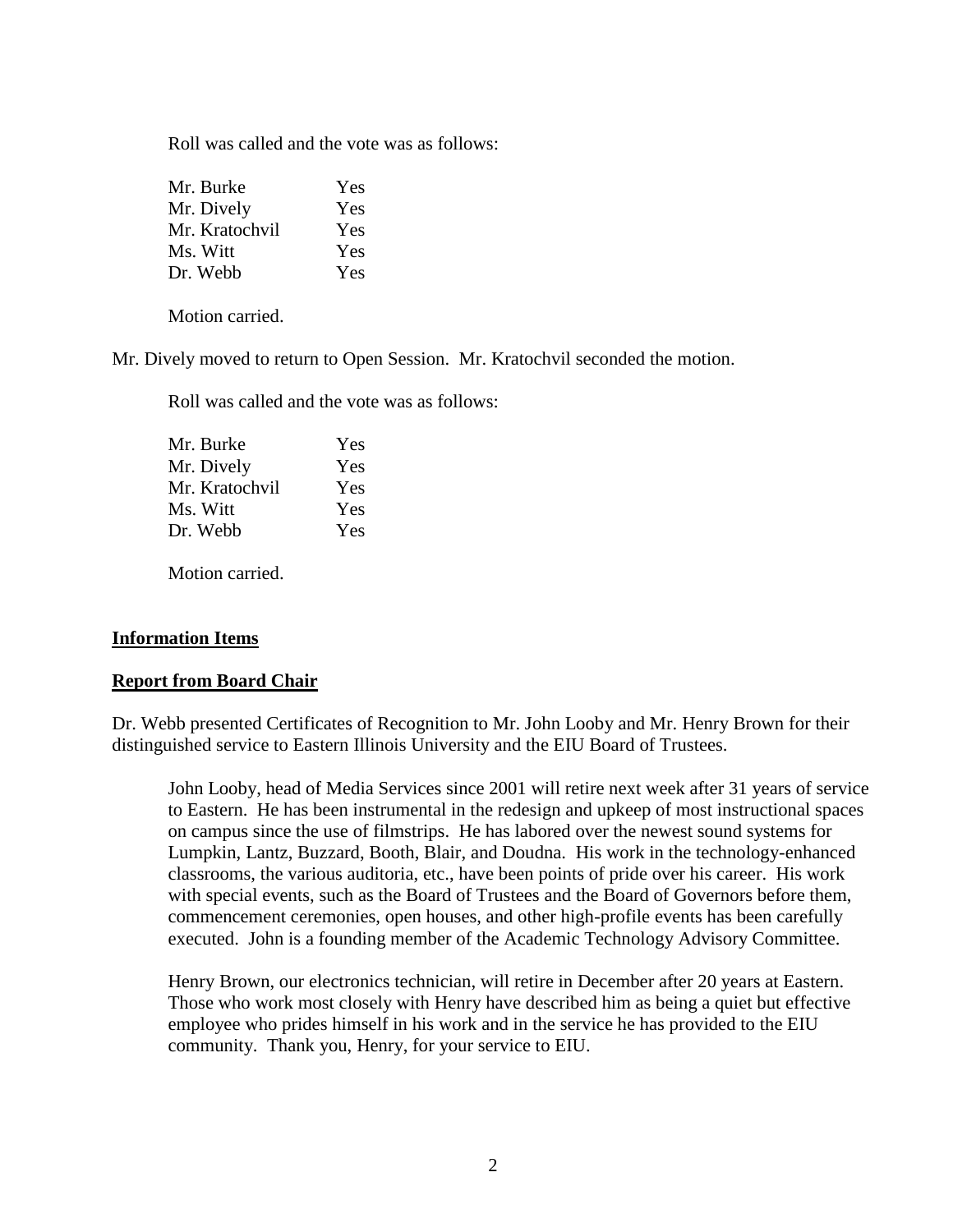Roll was called and the vote was as follows:

| Mr. Burke      | Yes |
|----------------|-----|
| Mr. Dively     | Yes |
| Mr. Kratochvil | Yes |
| Ms. Witt       | Yes |
| Dr. Webb       | Yes |

Motion carried.

Mr. Dively moved to return to Open Session. Mr. Kratochvil seconded the motion.

Roll was called and the vote was as follows:

| Yes |
|-----|
| Yes |
| Yes |
| Yes |
| Yes |
|     |

Motion carried.

### **Information Items**

### **Report from Board Chair**

Dr. Webb presented Certificates of Recognition to Mr. John Looby and Mr. Henry Brown for their distinguished service to Eastern Illinois University and the EIU Board of Trustees.

John Looby, head of Media Services since 2001 will retire next week after 31 years of service to Eastern. He has been instrumental in the redesign and upkeep of most instructional spaces on campus since the use of filmstrips. He has labored over the newest sound systems for Lumpkin, Lantz, Buzzard, Booth, Blair, and Doudna. His work in the technology-enhanced classrooms, the various auditoria, etc., have been points of pride over his career. His work with special events, such as the Board of Trustees and the Board of Governors before them, commencement ceremonies, open houses, and other high-profile events has been carefully executed. John is a founding member of the Academic Technology Advisory Committee.

Henry Brown, our electronics technician, will retire in December after 20 years at Eastern. Those who work most closely with Henry have described him as being a quiet but effective employee who prides himself in his work and in the service he has provided to the EIU community. Thank you, Henry, for your service to EIU.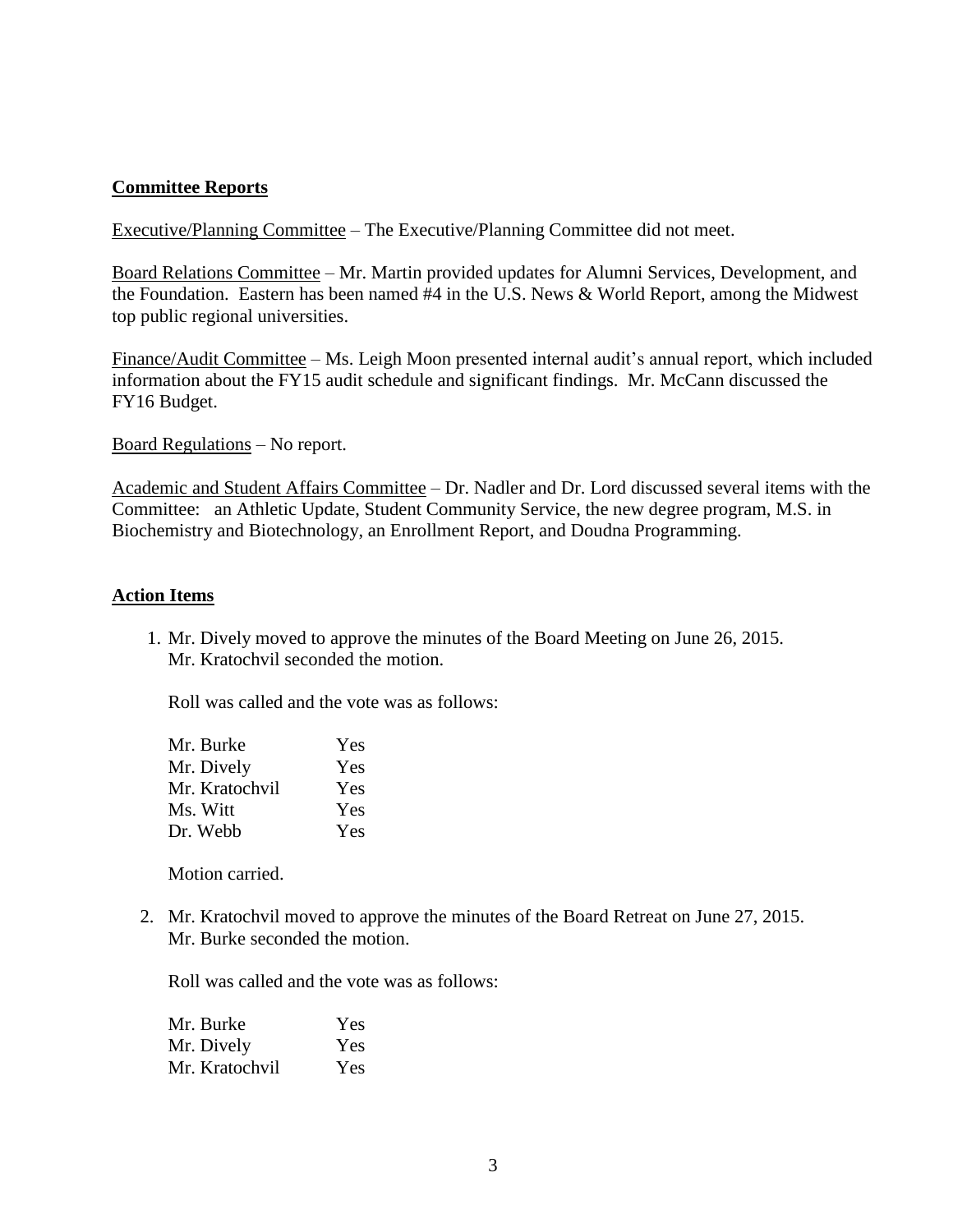## **Committee Reports**

Executive/Planning Committee – The Executive/Planning Committee did not meet.

Board Relations Committee – Mr. Martin provided updates for Alumni Services, Development, and the Foundation. Eastern has been named #4 in the U.S. News & World Report, among the Midwest top public regional universities.

Finance/Audit Committee – Ms. Leigh Moon presented internal audit's annual report, which included information about the FY15 audit schedule and significant findings. Mr. McCann discussed the FY16 Budget.

Board Regulations – No report.

Academic and Student Affairs Committee – Dr. Nadler and Dr. Lord discussed several items with the Committee: an Athletic Update, Student Community Service, the new degree program, M.S. in Biochemistry and Biotechnology, an Enrollment Report, and Doudna Programming.

### **Action Items**

1. Mr. Dively moved to approve the minutes of the Board Meeting on June 26, 2015. Mr. Kratochvil seconded the motion.

Roll was called and the vote was as follows:

| Yes |
|-----|
| Yes |
| Yes |
| Yes |
| Yes |
|     |

Motion carried.

2. Mr. Kratochvil moved to approve the minutes of the Board Retreat on June 27, 2015. Mr. Burke seconded the motion.

Roll was called and the vote was as follows:

| Mr. Burke      | <b>Yes</b> |
|----------------|------------|
| Mr. Dively     | <b>Yes</b> |
| Mr. Kratochvil | Yes        |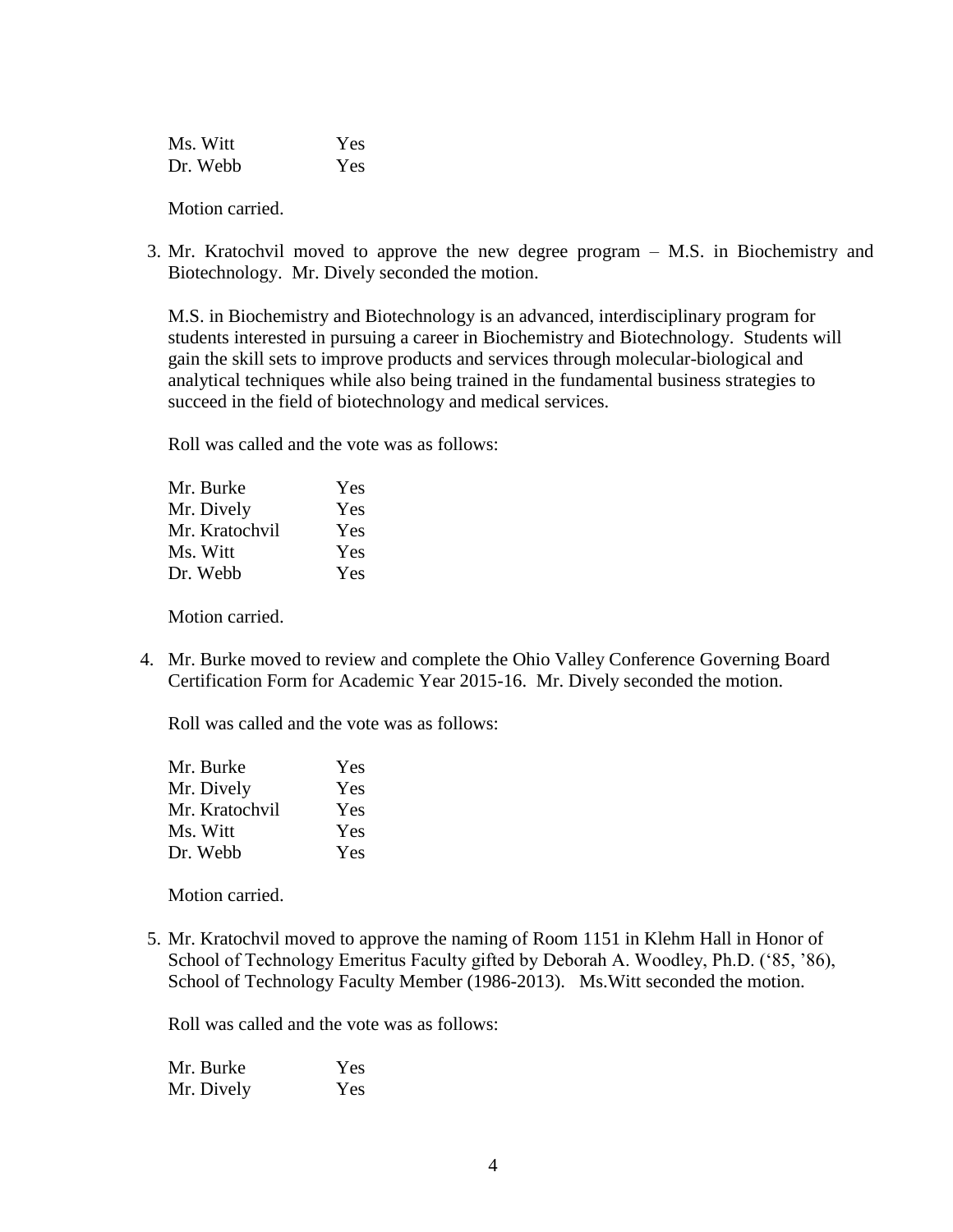| Ms. Witt | Yes |
|----------|-----|
| Dr. Webb | Yes |

Motion carried.

3. Mr. Kratochvil moved to approve the new degree program – M.S. in Biochemistry and Biotechnology. Mr. Dively seconded the motion.

M.S. in Biochemistry and Biotechnology is an advanced, interdisciplinary program for students interested in pursuing a career in Biochemistry and Biotechnology. Students will gain the skill sets to improve products and services through molecular-biological and analytical techniques while also being trained in the fundamental business strategies to succeed in the field of biotechnology and medical services.

Roll was called and the vote was as follows:

| Mr. Burke      | Yes |
|----------------|-----|
| Mr. Dively     | Yes |
| Mr. Kratochvil | Yes |
| Ms. Witt       | Yes |
| Dr. Webb       | Yes |

Motion carried.

4. Mr. Burke moved to review and complete the Ohio Valley Conference Governing Board Certification Form for Academic Year 2015-16. Mr. Dively seconded the motion.

Roll was called and the vote was as follows:

| Mr. Burke      | Yes |
|----------------|-----|
| Mr. Dively     | Yes |
| Mr. Kratochvil | Yes |
| Ms. Witt       | Yes |
| Dr. Webb       | Yes |

Motion carried.

5. Mr. Kratochvil moved to approve the naming of Room 1151 in Klehm Hall in Honor of School of Technology Emeritus Faculty gifted by Deborah A. Woodley, Ph.D. ('85, '86), School of Technology Faculty Member (1986-2013). Ms.Witt seconded the motion.

Roll was called and the vote was as follows:

Mr. Burke Yes Mr. Dively Yes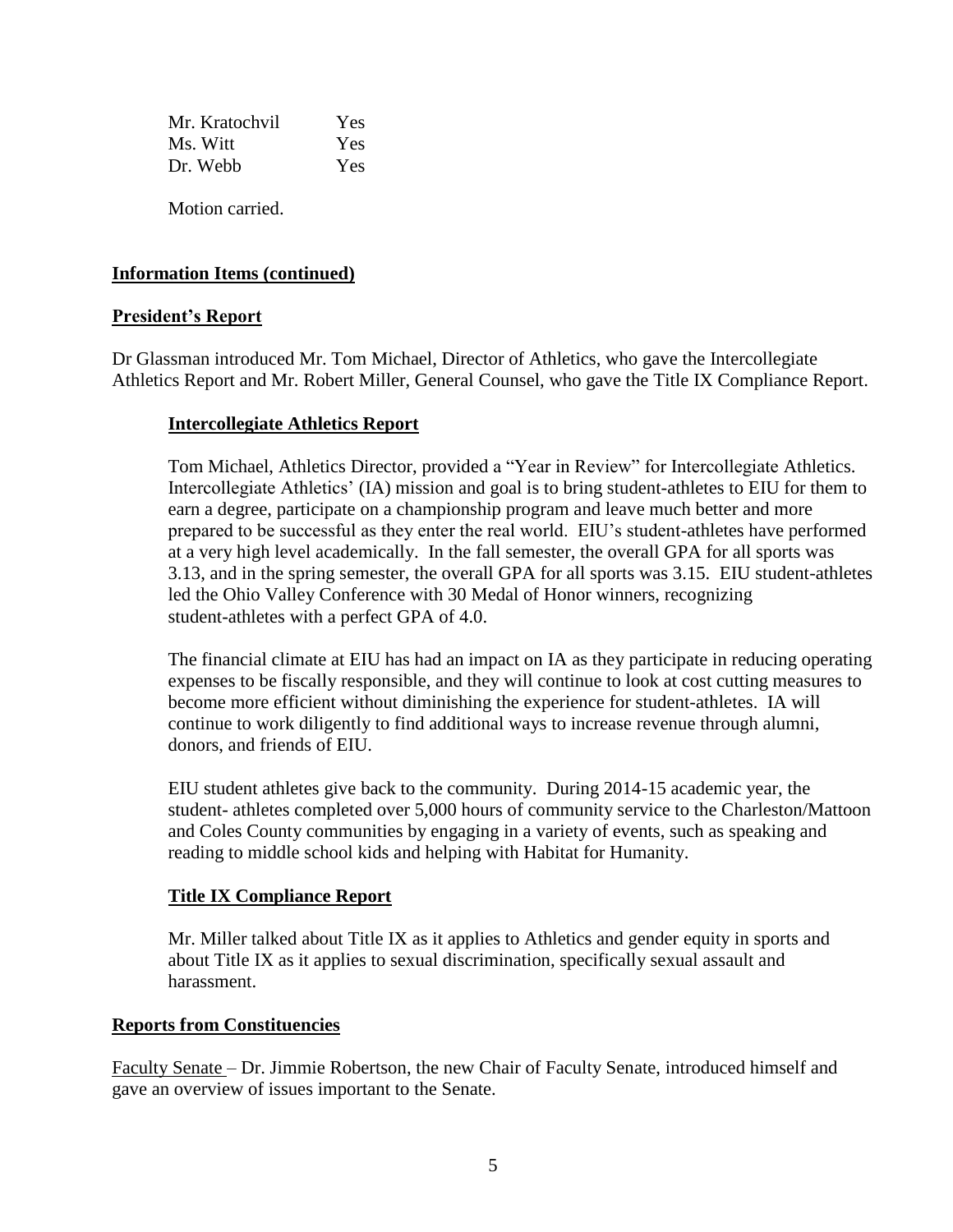| Mr. Kratochvil | Yes |
|----------------|-----|
| Ms. Witt       | Yes |
| Dr. Webb       | Yes |

Motion carried.

## **Information Items (continued)**

### **President's Report**

Dr Glassman introduced Mr. Tom Michael, Director of Athletics, who gave the Intercollegiate Athletics Report and Mr. Robert Miller, General Counsel, who gave the Title IX Compliance Report.

## **Intercollegiate Athletics Report**

Tom Michael, Athletics Director, provided a "Year in Review" for Intercollegiate Athletics. Intercollegiate Athletics' (IA) mission and goal is to bring student-athletes to EIU for them to earn a degree, participate on a championship program and leave much better and more prepared to be successful as they enter the real world. EIU's student-athletes have performed at a very high level academically. In the fall semester, the overall GPA for all sports was 3.13, and in the spring semester, the overall GPA for all sports was 3.15. EIU student-athletes led the Ohio Valley Conference with 30 Medal of Honor winners, recognizing student-athletes with a perfect GPA of 4.0.

The financial climate at EIU has had an impact on IA as they participate in reducing operating expenses to be fiscally responsible, and they will continue to look at cost cutting measures to become more efficient without diminishing the experience for student-athletes. IA will continue to work diligently to find additional ways to increase revenue through alumni, donors, and friends of EIU.

EIU student athletes give back to the community. During 2014-15 academic year, the student- athletes completed over 5,000 hours of community service to the Charleston/Mattoon and Coles County communities by engaging in a variety of events, such as speaking and reading to middle school kids and helping with Habitat for Humanity.

### **Title IX Compliance Report**

Mr. Miller talked about Title IX as it applies to Athletics and gender equity in sports and about Title IX as it applies to sexual discrimination, specifically sexual assault and harassment.

### **Reports from Constituencies**

Faculty Senate – Dr. Jimmie Robertson, the new Chair of Faculty Senate, introduced himself and gave an overview of issues important to the Senate.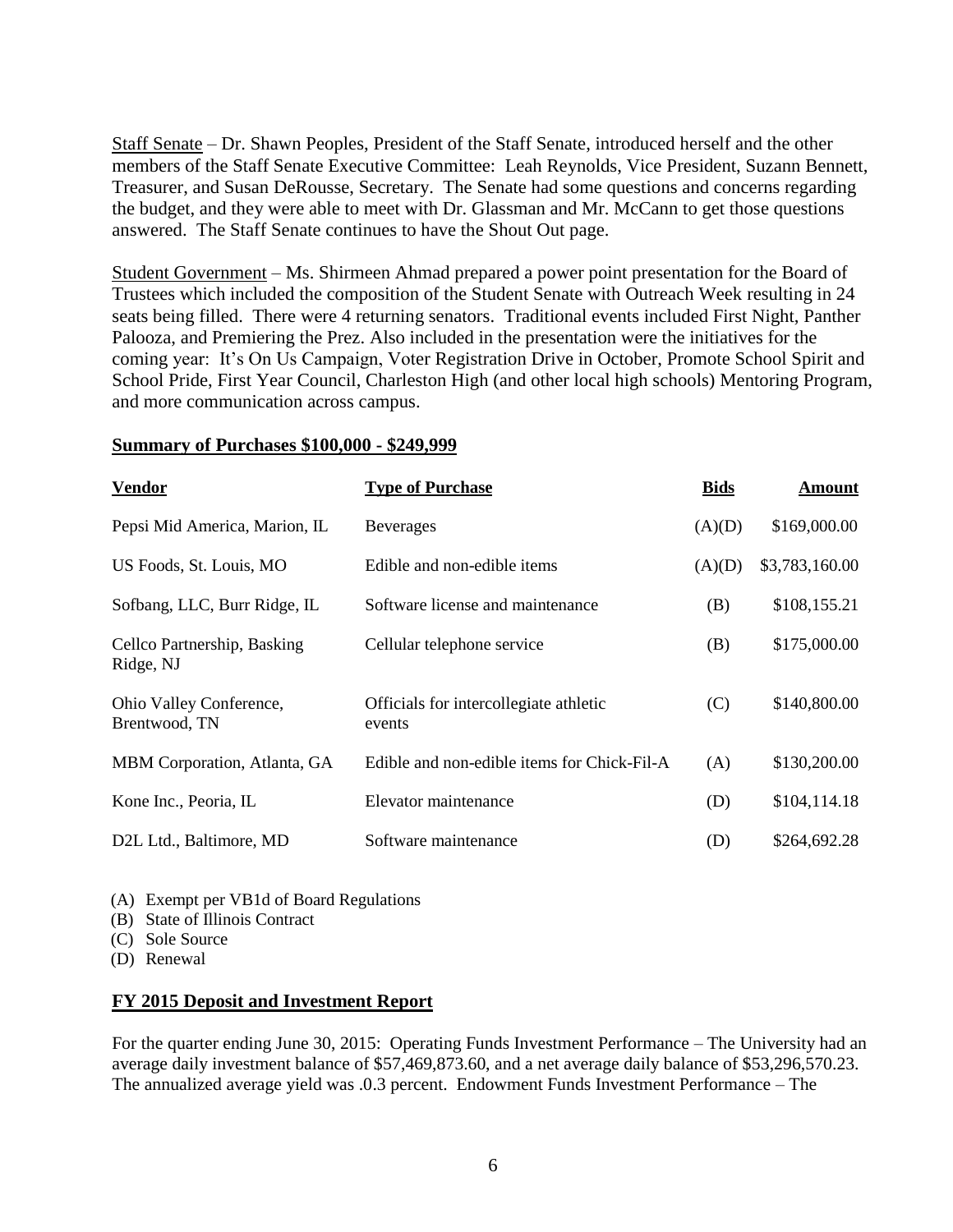Staff Senate – Dr. Shawn Peoples, President of the Staff Senate, introduced herself and the other members of the Staff Senate Executive Committee: Leah Reynolds, Vice President, Suzann Bennett, Treasurer, and Susan DeRousse, Secretary. The Senate had some questions and concerns regarding the budget, and they were able to meet with Dr. Glassman and Mr. McCann to get those questions answered. The Staff Senate continues to have the Shout Out page.

Student Government – Ms. Shirmeen Ahmad prepared a power point presentation for the Board of Trustees which included the composition of the Student Senate with Outreach Week resulting in 24 seats being filled. There were 4 returning senators. Traditional events included First Night, Panther Palooza, and Premiering the Prez. Also included in the presentation were the initiatives for the coming year: It's On Us Campaign, Voter Registration Drive in October, Promote School Spirit and School Pride, First Year Council, Charleston High (and other local high schools) Mentoring Program, and more communication across campus.

#### **Summary of Purchases \$100,000 - \$249,999**

| <b>Vendor</b>                            | <b>Type of Purchase</b>                          | <b>Bids</b> | <b>Amount</b>  |
|------------------------------------------|--------------------------------------------------|-------------|----------------|
| Pepsi Mid America, Marion, IL            | <b>Beverages</b>                                 | (A)(D)      | \$169,000.00   |
| US Foods, St. Louis, MO                  | Edible and non-edible items                      | (A)(D)      | \$3,783,160.00 |
| Sofbang, LLC, Burr Ridge, IL             | Software license and maintenance                 | (B)         | \$108,155.21   |
| Cellco Partnership, Basking<br>Ridge, NJ | Cellular telephone service                       | (B)         | \$175,000.00   |
| Ohio Valley Conference,<br>Brentwood, TN | Officials for intercollegiate athletic<br>events | (C)         | \$140,800.00   |
| MBM Corporation, Atlanta, GA             | Edible and non-edible items for Chick-Fil-A      | (A)         | \$130,200.00   |
| Kone Inc., Peoria, IL                    | Elevator maintenance                             | (D)         | \$104,114.18   |
| D2L Ltd., Baltimore, MD                  | Software maintenance                             | (D)         | \$264,692.28   |

(A) Exempt per VB1d of Board Regulations

(B) State of Illinois Contract

(C) Sole Source

(D) Renewal

### **FY 2015 Deposit and Investment Report**

For the quarter ending June 30, 2015: Operating Funds Investment Performance – The University had an average daily investment balance of \$57,469,873.60, and a net average daily balance of \$53,296,570.23. The annualized average yield was .0.3 percent. Endowment Funds Investment Performance – The